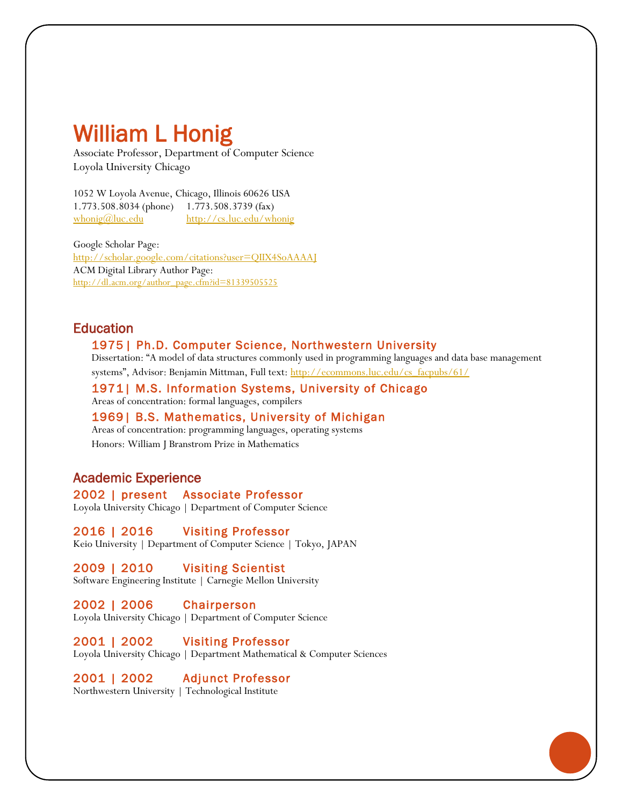# William L Honig

Associate Professor, Department of Computer Science Loyola University Chicago

1052 W Loyola Avenue, Chicago, Illinois 60626 USA 1.773.508.8034 (phone) 1.773.508.3739 (fax) [whonig@luc.edu](mailto:whonig@luc.edu) <http://cs.luc.edu/whonig>

Google Scholar Page: <http://scholar.google.com/citations?user=QIIX4SoAAAAJ> ACM Digital Library Author Page: [http://dl.acm.org/author\\_page.cfm?id=81339505525](http://dl.acm.org/author_page.cfm?id=81339505525)

# **Education**

#### 1975 | Ph.D. Computer Science, Northwestern University

Dissertation: "A model of data structures commonly used in programming languages and data base management

systems", Advisor: Benjamin Mittman, Full text: [http://ecommons.luc.edu/cs\\_facpubs/61/](http://ecommons.luc.edu/cs_facpubs/61/)

1971| M.S. Information Systems, University of Chicago Areas of concentration: formal languages, compilers

1969| B.S. Mathematics, University of Michigan Areas of concentration: programming languages, operating systems Honors: William J Branstrom Prize in Mathematics

# Academic Experience

2002 | present Associate Professor Loyola University Chicago | Department of Computer Science

2016 | 2016 Visiting Professor Keio University | Department of Computer Science | Tokyo, JAPAN

2009 | 2010 Visiting Scientist Software Engineering Institute | Carnegie Mellon University

2002 | 2006 Chairperson Loyola University Chicago | Department of Computer Science

2001 | 2002 Visiting Professor Loyola University Chicago | Department Mathematical & Computer Sciences

2001 | 2002 Adjunct Professor Northwestern University | Technological Institute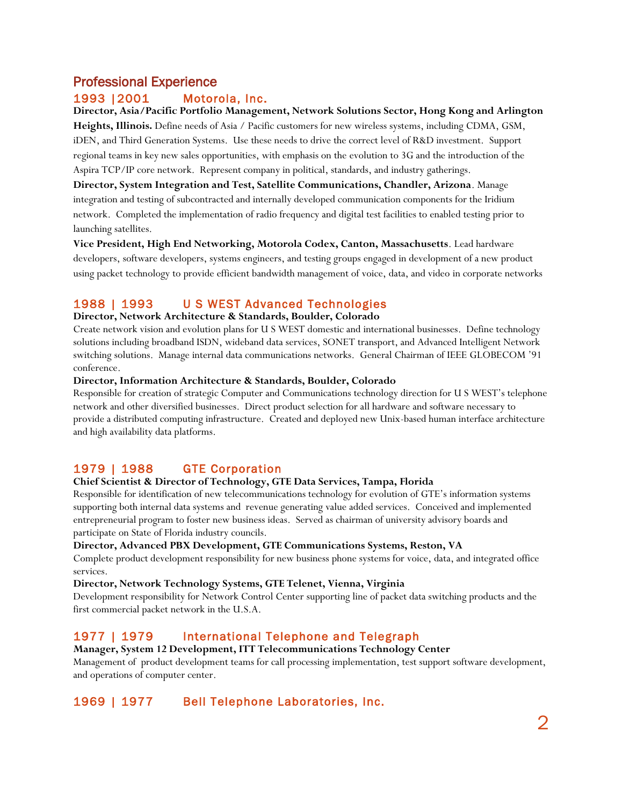# Professional Experience

### 1993 |2001 Motorola, Inc.

#### **Director, Asia/Pacific Portfolio Management, Network Solutions Sector, Hong Kong and Arlington**

**Heights, Illinois.** Define needs of Asia / Pacific customers for new wireless systems, including CDMA, GSM, iDEN, and Third Generation Systems. Use these needs to drive the correct level of R&D investment. Support regional teams in key new sales opportunities, with emphasis on the evolution to 3G and the introduction of the Aspira TCP/IP core network. Represent company in political, standards, and industry gatherings.

**Director, System Integration and Test, Satellite Communications, Chandler, Arizona**. Manage integration and testing of subcontracted and internally developed communication components for the Iridium network. Completed the implementation of radio frequency and digital test facilities to enabled testing prior to launching satellites.

**Vice President, High End Networking, Motorola Codex, Canton, Massachusetts**. Lead hardware developers, software developers, systems engineers, and testing groups engaged in development of a new product using packet technology to provide efficient bandwidth management of voice, data, and video in corporate networks

# 1988 | 1993 U S WEST Advanced Technologies

#### **Director, Network Architecture & Standards, Boulder, Colorado**

Create network vision and evolution plans for U S WEST domestic and international businesses. Define technology solutions including broadband ISDN, wideband data services, SONET transport, and Advanced Intelligent Network switching solutions. Manage internal data communications networks. General Chairman of IEEE GLOBECOM '91 conference.

#### **Director, Information Architecture & Standards, Boulder, Colorado**

Responsible for creation of strategic Computer and Communications technology direction for U S WEST's telephone network and other diversified businesses. Direct product selection for all hardware and software necessary to provide a distributed computing infrastructure. Created and deployed new Unix-based human interface architecture and high availability data platforms.

# 1979 | 1988 GTE Corporation

#### **Chief Scientist & Director of Technology, GTE Data Services, Tampa, Florida**

Responsible for identification of new telecommunications technology for evolution of GTE's information systems supporting both internal data systems and revenue generating value added services. Conceived and implemented entrepreneurial program to foster new business ideas. Served as chairman of university advisory boards and participate on State of Florida industry councils.

#### **Director, Advanced PBX Development, GTE Communications Systems, Reston, VA**

Complete product development responsibility for new business phone systems for voice, data, and integrated office services.

#### **Director, Network Technology Systems, GTE Telenet, Vienna, Virginia**

Development responsibility for Network Control Center supporting line of packet data switching products and the first commercial packet network in the U.S.A.

### 1977 | 1979 International Telephone and Telegraph

**Manager, System 12 Development, ITT Telecommunications Technology Center** Management of product development teams for call processing implementation, test support software development, and operations of computer center.

# 1969 | 1977 Bell Telephone Laboratories, Inc.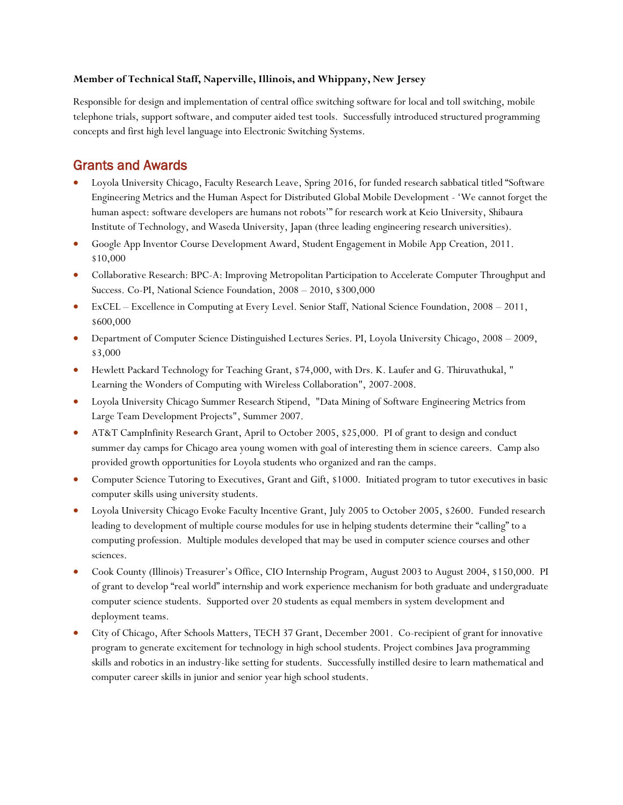#### **Member of Technical Staff, Naperville, Illinois, and Whippany, New Jersey**

Responsible for design and implementation of central office switching software for local and toll switching, mobile telephone trials, support software, and computer aided test tools. Successfully introduced structured programming concepts and first high level language into Electronic Switching Systems.

# Grants and Awards

- Loyola University Chicago, Faculty Research Leave, Spring 2016, for funded research sabbatical titled "Software Engineering Metrics and the Human Aspect for Distributed Global Mobile Development - 'We cannot forget the human aspect: software developers are humans not robots'" for research work at Keio University, Shibaura Institute of Technology, and Waseda University, Japan (three leading engineering research universities).
- Google App Inventor Course Development Award, Student Engagement in Mobile App Creation, 2011. \$10,000
- Collaborative Research: BPC-A: Improving Metropolitan Participation to Accelerate Computer Throughput and Success. Co-PI, National Science Foundation, 2008 – 2010, \$300,000
- ExCEL Excellence in Computing at Every Level. Senior Staff, National Science Foundation, 2008 2011, \$600,000
- Department of Computer Science Distinguished Lectures Series. PI, Loyola University Chicago, 2008 2009, \$3,000
- Hewlett Packard Technology for Teaching Grant, \$74,000, with Drs. K. Laufer and G. Thiruvathukal, " Learning the Wonders of Computing with Wireless Collaboration", 2007-2008.
- Loyola University Chicago Summer Research Stipend, "Data Mining of Software Engineering Metrics from Large Team Development Projects", Summer 2007.
- AT&T CampInfinity Research Grant, April to October 2005, \$25,000. PI of grant to design and conduct summer day camps for Chicago area young women with goal of interesting them in science careers. Camp also provided growth opportunities for Loyola students who organized and ran the camps.
- Computer Science Tutoring to Executives, Grant and Gift, \$1000. Initiated program to tutor executives in basic computer skills using university students.
- Loyola University Chicago Evoke Faculty Incentive Grant, July 2005 to October 2005, \$2600. Funded research leading to development of multiple course modules for use in helping students determine their "calling" to a computing profession. Multiple modules developed that may be used in computer science courses and other sciences.
- Cook County (Illinois) Treasurer's Office, CIO Internship Program, August 2003 to August 2004, \$150,000. PI of grant to develop "real world" internship and work experience mechanism for both graduate and undergraduate computer science students. Supported over 20 students as equal members in system development and deployment teams.
- City of Chicago, After Schools Matters, TECH 37 Grant, December 2001. Co-recipient of grant for innovative program to generate excitement for technology in high school students. Project combines Java programming skills and robotics in an industry-like setting for students. Successfully instilled desire to learn mathematical and computer career skills in junior and senior year high school students.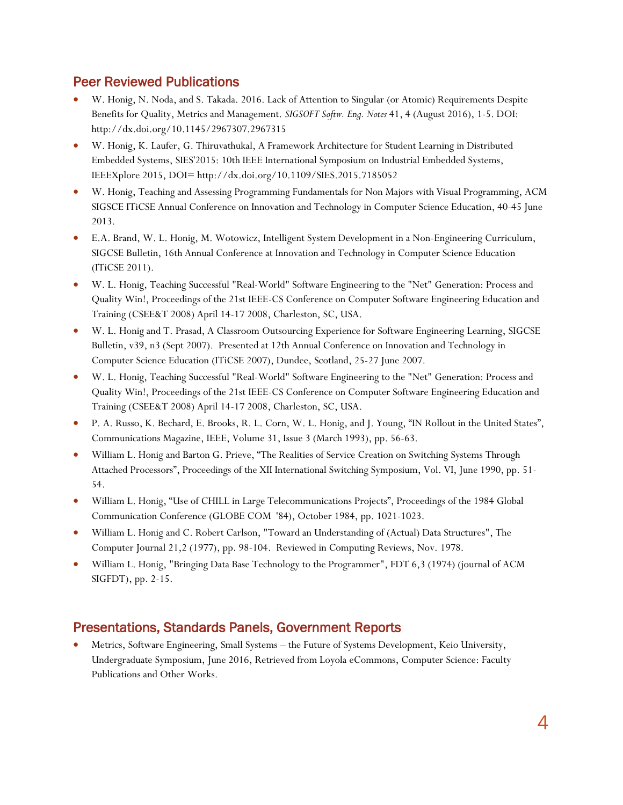# Peer Reviewed Publications

- W. Honig, N. Noda, and S. Takada. 2016. Lack of Attention to Singular (or Atomic) Requirements Despite Benefits for Quality, Metrics and Management. *SIGSOFT Softw. Eng. Notes* 41, 4 (August 2016), 1-5. DOI: http://dx.doi.org/10.1145/2967307.2967315
- W. Honig, K. Laufer, G. Thiruvathukal, A Framework Architecture for Student Learning in Distributed Embedded Systems, SIES'2015: 10th IEEE International Symposium on Industrial Embedded Systems, IEEEXplore 2015, DOI= http://dx.doi.org/10.1109/SIES.2015.7185052
- W. Honig, Teaching and Assessing Programming Fundamentals for Non Majors with Visual Programming, ACM SIGSCE ITiCSE Annual Conference on Innovation and Technology in Computer Science Education, 40-45 June 2013.
- E.A. Brand, W. L. Honig, M. Wotowicz, Intelligent System Development in a Non-Engineering Curriculum, SIGCSE Bulletin, 16th Annual Conference at Innovation and Technology in Computer Science Education (ITiCSE 2011).
- W. L. Honig, Teaching Successful "Real-World" Software Engineering to the "Net" Generation: Process and Quality Win!, Proceedings of the 21st IEEE-CS Conference on Computer Software Engineering Education and Training (CSEE&T 2008) April 14-17 2008, Charleston, SC, USA.
- W. L. Honig and T. Prasad, A Classroom Outsourcing Experience for Software Engineering Learning, SIGCSE Bulletin, v39, n3 (Sept 2007). Presented at 12th Annual Conference on Innovation and Technology in Computer Science Education (ITiCSE 2007), Dundee, Scotland, 25-27 June 2007.
- W. L. Honig, Teaching Successful "Real-World" Software Engineering to the "Net" Generation: Process and Quality Win!, Proceedings of the 21st IEEE-CS Conference on Computer Software Engineering Education and Training (CSEE&T 2008) April 14-17 2008, Charleston, SC, USA.
- P. A. Russo, K. Bechard, E. Brooks, R. L. Corn, W. L. Honig, and J. Young, "IN Rollout in the United States", Communications Magazine, IEEE, Volume 31, Issue 3 (March 1993), pp. 56-63.
- William L. Honig and Barton G. Prieve, "The Realities of Service Creation on Switching Systems Through Attached Processors", Proceedings of the XII International Switching Symposium, Vol. VI, June 1990, pp. 51- 54.
- William L. Honig, "Use of CHILL in Large Telecommunications Projects", Proceedings of the 1984 Global Communication Conference (GLOBE COM '84), October 1984, pp. 1021-1023.
- William L. Honig and C. Robert Carlson, "Toward an Understanding of (Actual) Data Structures", The Computer Journal 21,2 (1977), pp. 98-104. Reviewed in Computing Reviews, Nov. 1978.
- William L. Honig, "Bringing Data Base Technology to the Programmer", FDT 6,3 (1974) (journal of ACM SIGFDT), pp. 2-15.

# Presentations, Standards Panels, Government Reports

• Metrics, Software Engineering, Small Systems – the Future of Systems Development, Keio University, Undergraduate Symposium, June 2016, Retrieved from Loyola eCommons, Computer Science: Faculty Publications and Other Works.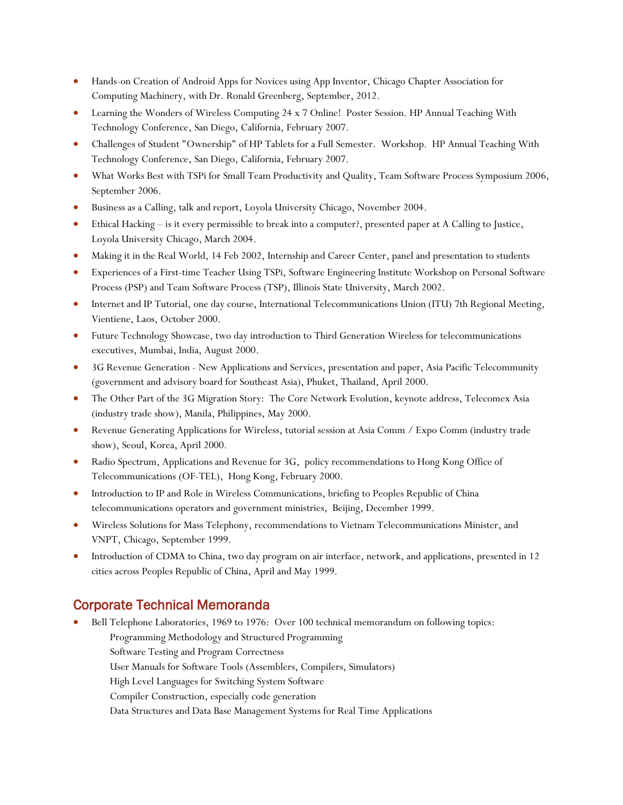- Hands-on Creation of Android Apps for Novices using App Inventor, Chicago Chapter Association for Computing Machinery, with Dr. Ronald Greenberg, September, 2012.
- Learning the Wonders of Wireless Computing 24 x 7 Online! Poster Session. HP Annual Teaching With Technology Conference, San Diego, California, February 2007.
- Challenges of Student "Ownership" of HP Tablets for a Full Semester. Workshop. HP Annual Teaching With Technology Conference, San Diego, California, February 2007.
- What Works Best with TSPi for Small Team Productivity and Quality, Team Software Process Symposium 2006, September 2006.
- Business as a Calling, talk and report, Loyola University Chicago, November 2004.
- Ethical Hacking is it every permissible to break into a computer?, presented paper at A Calling to Justice, Loyola University Chicago, March 2004.
- Making it in the Real World, 14 Feb 2002, Internship and Career Center, panel and presentation to students
- Experiences of a First-time Teacher Using TSPi, Software Engineering Institute Workshop on Personal Software Process (PSP) and Team Software Process (TSP), Illinois State University, March 2002.
- Internet and IP Tutorial, one day course, International Telecommunications Union (ITU) 7th Regional Meeting, Vientiene, Laos, October 2000.
- Future Technology Showcase, two day introduction to Third Generation Wireless for telecommunications executives, Mumbai, India, August 2000.
- 3G Revenue Generation New Applications and Services, presentation and paper, Asia Pacific Telecommunity (government and advisory board for Southeast Asia), Phuket, Thailand, April 2000.
- The Other Part of the 3G Migration Story: The Core Network Evolution, keynote address, Telecomex Asia (industry trade show), Manila, Philippines, May 2000.
- Revenue Generating Applications for Wireless, tutorial session at Asia Comm / Expo Comm (industry trade show), Seoul, Korea, April 2000.
- Radio Spectrum, Applications and Revenue for 3G, policy recommendations to Hong Kong Office of Telecommunications (OF-TEL), Hong Kong, February 2000.
- Introduction to IP and Role in Wireless Communications, briefing to Peoples Republic of China telecommunications operators and government ministries, Beijing, December 1999.
- Wireless Solutions for Mass Telephony, recommendations to Vietnam Telecommunications Minister, and VNPT, Chicago, September 1999.
- Introduction of CDMA to China, two day program on air interface, network, and applications, presented in 12 cities across Peoples Republic of China, April and May 1999.

# Corporate Technical Memoranda

- Bell Telephone Laboratories, 1969 to 1976: Over 100 technical memorandum on following topics:
	- Programming Methodology and Structured Programming
	- Software Testing and Program Correctness
	- User Manuals for Software Tools (Assemblers, Compilers, Simulators)
	- High Level Languages for Switching System Software
	- Compiler Construction, especially code generation
	- Data Structures and Data Base Management Systems for Real Time Applications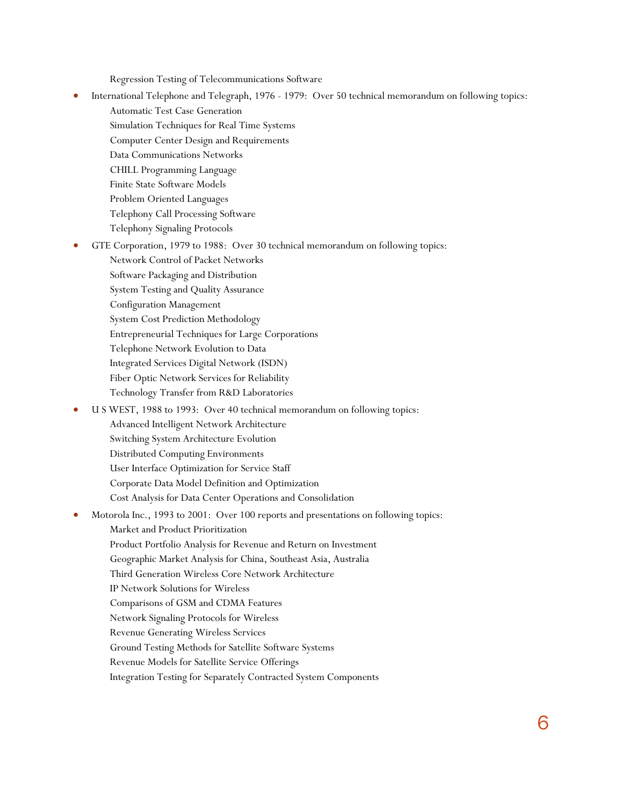Regression Testing of Telecommunications Software

- International Telephone and Telegraph, 1976 1979: Over 50 technical memorandum on following topics:
	- Automatic Test Case Generation
		- Simulation Techniques for Real Time Systems
		- Computer Center Design and Requirements
		- Data Communications Networks
		- CHILL Programming Language
		- Finite State Software Models
		- Problem Oriented Languages
	- Telephony Call Processing Software
	- Telephony Signaling Protocols
- GTE Corporation, 1979 to 1988: Over 30 technical memorandum on following topics:
	- Network Control of Packet Networks
	- Software Packaging and Distribution
	- System Testing and Quality Assurance
	- Configuration Management
	- System Cost Prediction Methodology
	- Entrepreneurial Techniques for Large Corporations
	- Telephone Network Evolution to Data
	- Integrated Services Digital Network (ISDN)
	- Fiber Optic Network Services for Reliability
	- Technology Transfer from R&D Laboratories
- U S WEST, 1988 to 1993: Over 40 technical memorandum on following topics:
	- Advanced Intelligent Network Architecture
	- Switching System Architecture Evolution
	- Distributed Computing Environments
	- User Interface Optimization for Service Staff
	- Corporate Data Model Definition and Optimization
	- Cost Analysis for Data Center Operations and Consolidation

• Motorola Inc., 1993 to 2001: Over 100 reports and presentations on following topics: Market and Product Prioritization Product Portfolio Analysis for Revenue and Return on Investment Geographic Market Analysis for China, Southeast Asia, Australia Third Generation Wireless Core Network Architecture IP Network Solutions for Wireless Comparisons of GSM and CDMA Features

Network Signaling Protocols for Wireless

- Revenue Generating Wireless Services
- Ground Testing Methods for Satellite Software Systems
- Revenue Models for Satellite Service Offerings
- Integration Testing for Separately Contracted System Components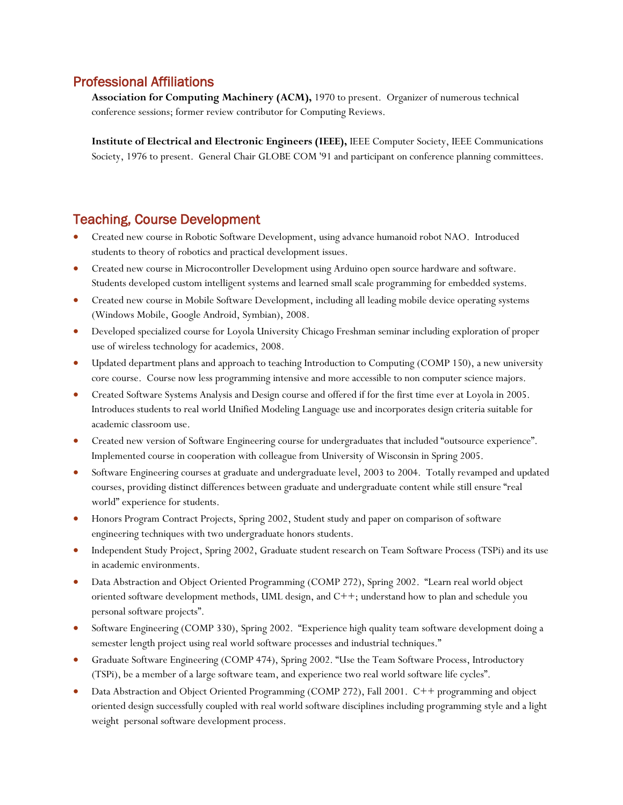### Professional Affiliations

**Association for Computing Machinery (ACM),** 1970 to present. Organizer of numerous technical conference sessions; former review contributor for Computing Reviews.

**Institute of Electrical and Electronic Engineers (IEEE),** IEEE Computer Society, IEEE Communications Society, 1976 to present. General Chair GLOBE COM '91 and participant on conference planning committees.

# Teaching, Course Development

- Created new course in Robotic Software Development, using advance humanoid robot NAO. Introduced students to theory of robotics and practical development issues.
- Created new course in Microcontroller Development using Arduino open source hardware and software. Students developed custom intelligent systems and learned small scale programming for embedded systems.
- Created new course in Mobile Software Development, including all leading mobile device operating systems (Windows Mobile, Google Android, Symbian), 2008.
- Developed specialized course for Loyola University Chicago Freshman seminar including exploration of proper use of wireless technology for academics, 2008.
- Updated department plans and approach to teaching Introduction to Computing (COMP 150), a new university core course. Course now less programming intensive and more accessible to non computer science majors.
- Created Software Systems Analysis and Design course and offered if for the first time ever at Loyola in 2005. Introduces students to real world Unified Modeling Language use and incorporates design criteria suitable for academic classroom use.
- Created new version of Software Engineering course for undergraduates that included "outsource experience". Implemented course in cooperation with colleague from University of Wisconsin in Spring 2005.
- Software Engineering courses at graduate and undergraduate level, 2003 to 2004. Totally revamped and updated courses, providing distinct differences between graduate and undergraduate content while still ensure "real world" experience for students.
- Honors Program Contract Projects, Spring 2002, Student study and paper on comparison of software engineering techniques with two undergraduate honors students.
- Independent Study Project, Spring 2002, Graduate student research on Team Software Process (TSPi) and its use in academic environments.
- Data Abstraction and Object Oriented Programming (COMP 272), Spring 2002. "Learn real world object oriented software development methods, UML design, and C++; understand how to plan and schedule you personal software projects".
- Software Engineering (COMP 330), Spring 2002. "Experience high quality team software development doing a semester length project using real world software processes and industrial techniques."
- Graduate Software Engineering (COMP 474), Spring 2002. "Use the Team Software Process, Introductory (TSPi), be a member of a large software team, and experience two real world software life cycles".
- Data Abstraction and Object Oriented Programming (COMP 272), Fall 2001. C++ programming and object oriented design successfully coupled with real world software disciplines including programming style and a light weight personal software development process.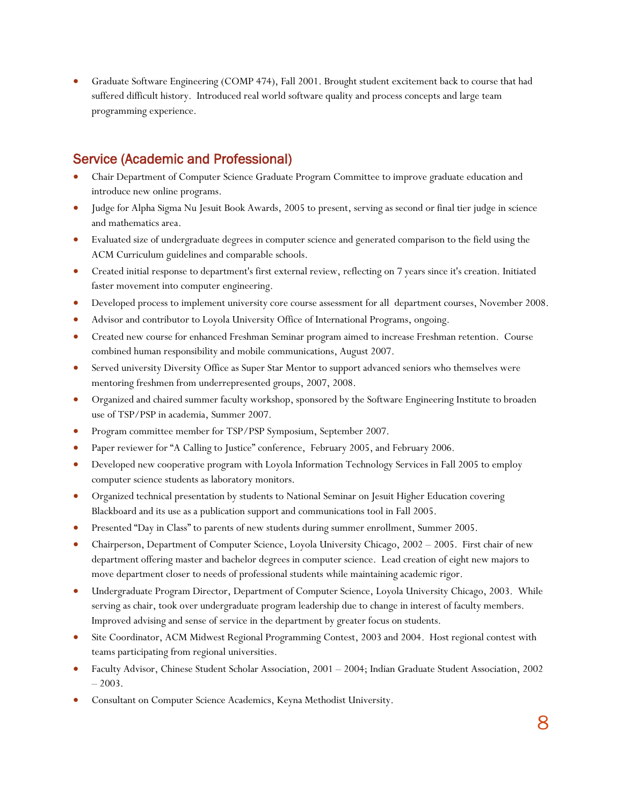• Graduate Software Engineering (COMP 474), Fall 2001. Brought student excitement back to course that had suffered difficult history. Introduced real world software quality and process concepts and large team programming experience.

# Service (Academic and Professional)

- Chair Department of Computer Science Graduate Program Committee to improve graduate education and introduce new online programs.
- Judge for Alpha Sigma Nu Jesuit Book Awards, 2005 to present, serving as second or final tier judge in science and mathematics area.
- Evaluated size of undergraduate degrees in computer science and generated comparison to the field using the ACM Curriculum guidelines and comparable schools.
- Created initial response to department's first external review, reflecting on 7 years since it's creation. Initiated faster movement into computer engineering.
- Developed process to implement university core course assessment for all department courses, November 2008.
- Advisor and contributor to Loyola University Office of International Programs, ongoing.
- Created new course for enhanced Freshman Seminar program aimed to increase Freshman retention. Course combined human responsibility and mobile communications, August 2007.
- Served university Diversity Office as Super Star Mentor to support advanced seniors who themselves were mentoring freshmen from underrepresented groups, 2007, 2008.
- Organized and chaired summer faculty workshop, sponsored by the Software Engineering Institute to broaden use of TSP/PSP in academia, Summer 2007.
- Program committee member for TSP/PSP Symposium, September 2007.
- Paper reviewer for "A Calling to Justice" conference, February 2005, and February 2006.
- Developed new cooperative program with Loyola Information Technology Services in Fall 2005 to employ computer science students as laboratory monitors.
- Organized technical presentation by students to National Seminar on Jesuit Higher Education covering Blackboard and its use as a publication support and communications tool in Fall 2005.
- Presented "Day in Class" to parents of new students during summer enrollment, Summer 2005.
- Chairperson, Department of Computer Science, Loyola University Chicago, 2002 2005. First chair of new department offering master and bachelor degrees in computer science. Lead creation of eight new majors to move department closer to needs of professional students while maintaining academic rigor.
- Undergraduate Program Director, Department of Computer Science, Loyola University Chicago, 2003. While serving as chair, took over undergraduate program leadership due to change in interest of faculty members. Improved advising and sense of service in the department by greater focus on students.
- Site Coordinator, ACM Midwest Regional Programming Contest, 2003 and 2004. Host regional contest with teams participating from regional universities.
- Faculty Advisor, Chinese Student Scholar Association, 2001 2004; Indian Graduate Student Association, 2002  $-2003.$
- Consultant on Computer Science Academics, Keyna Methodist University.